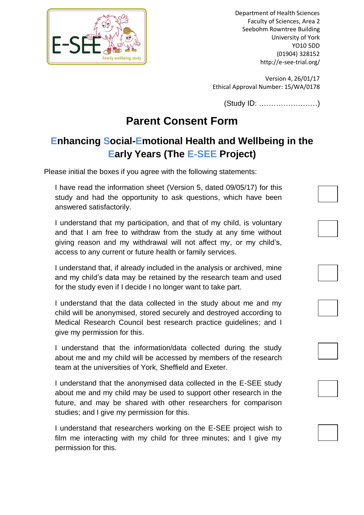

Department of Health Sciences Faculty of Sciences, Area 2 Seebohm Rowntree Building University of York YO10 5DD (01904) 328152 http://e-see-trial.org/

Version 4, 26/01/17 Ethical Approval Number: 15/WA/0178

(Study ID: ……………………)

## **Parent Consent Form**

## **Enhancing Social-Emotional Health and Wellbeing in the Early Years (The E-SEE Project)**

Please initial the boxes if you agree with the following statements:

I have read the information sheet (Version 5, dated 09/05/17) for this study and had the opportunity to ask questions, which have been answered satisfactorily.

I understand that my participation, and that of my child, is voluntary and that I am free to withdraw from the study at any time without giving reason and my withdrawal will not affect my, or my child's, access to any current or future health or family services.

I understand that, if already included in the analysis or archived, mine and my child's data may be retained by the research team and used for the study even if I decide I no longer want to take part.

I understand that the data collected in the study about me and my child will be anonymised, stored securely and destroyed according to Medical Research Council best research practice guidelines; and I give my permission for this.

I understand that the information/data collected during the study about me and my child will be accessed by members of the research team at the universities of York, Sheffield and Exeter.

I understand that the anonymised data collected in the E-SEE study about me and my child may be used to support other research in the future, and may be shared with other researchers for comparison studies; and I give my permission for this.

I understand that researchers working on the E-SEE project wish to film me interacting with my child for three minutes; and I give my permission for this.